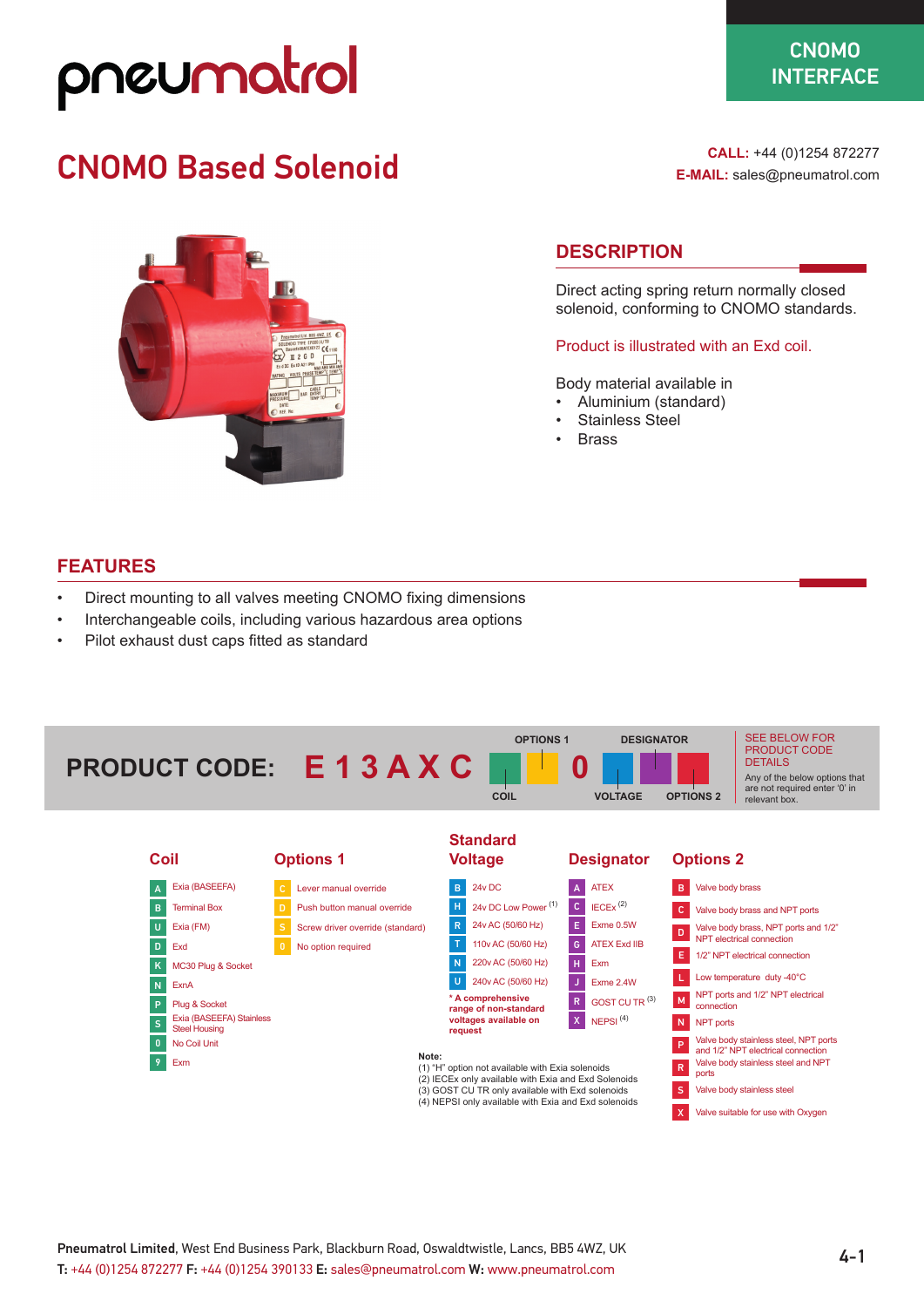## pneumatrol

### $\sim$  $S$  CNOMO **INTERFACE**

### CNOMO Based Solenoid



**CALL:** +44 (0)1254 872277 **E-MAIL:** sales@pneumatrol.com

### **DESCRIPTION**

Direct acting spring return normally closed solenoid, conforming to CNOMO standards.

### Product is illustrated with an Exd coil.

Body material available in

- Aluminium (standard)
- Stainless Steel
- **Brass**

### **FEATURES**

- Direct mounting to all valves meeting CNOMO fixing dimensions
- Interchangeable coils, including various hazardous area options
- Pilot exhaust dust caps fitted as standard